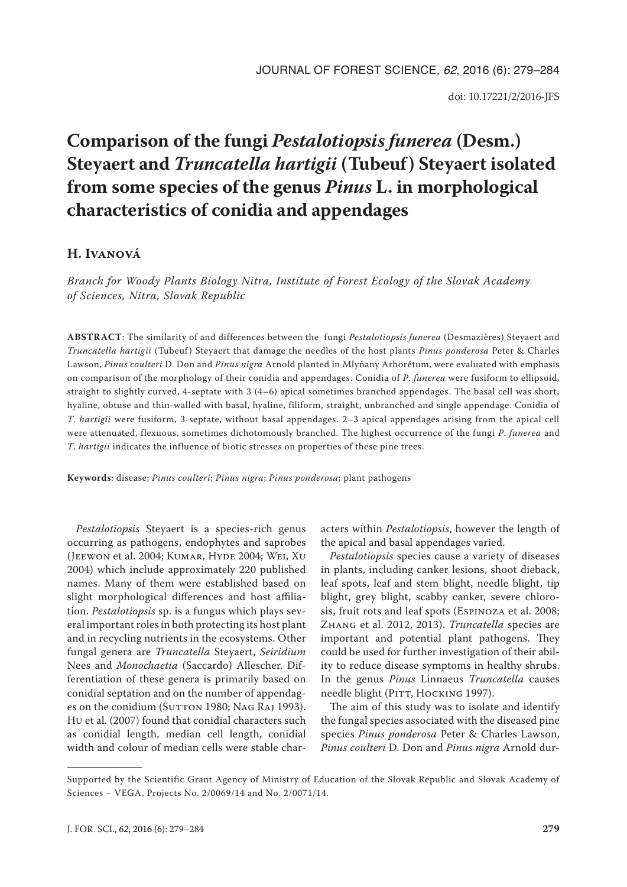# **Comparison of the fungi** *Pestalotiopsis funerea* **(Desm.) Steyaert and** *Truncatella hartigii* **(Tubeuf) Steyaert isolated from some species of the genus** *Pinus* **L. in morphological characteristics of conidia and appendages**

# **H. Ivanová**

*Branch for Woody Plants Biology Nitra, Institute of Forest Ecology of the Slovak Academy of Sciences, Nitra, Slovak Republic*

**ABSTRACT**: The similarity of and differences between the fungi *Pestalotiopsis funerea* (Desmazières) Steyaert and *Truncatella hartigii* (Tubeuf) Steyaert that damage the needles of the host plants Pinus ponderosa Peter & Charles Lawson, *Pinus coulteri* D. Don and *Pinus nigra* Arnold planted in Mlyňany Arborétum, were evaluated with emphasis on comparison of the morphology of their conidia and appendages. Conidia of *P*. *funerea* were fusiform to ellipsoid, straight to slightly curved, 4-septate with 3 (4–6) apical sometimes branched appendages. The basal cell was short, hyaline, obtuse and thin-walled with basal, hyaline, filiform, straight, unbranched and single appendage. Conidia of *T*. *hartigii* were fusiform, 3-septate, without basal appendages. 2–3 apical appendages arising from the apical cell were attenuated, flexuous, sometimes dichotomously branched. The highest occurrence of the fungi *P*. *funerea* and *T*. *hartigii* indicates the influence of biotic stresses on properties of these pine trees.

**Keywords**: disease; *Pinus coulteri*; *Pinus nigra*; *Pinus ponderosa*; plant pathogens

*Pestalotiopsis* Steyaert is a species-rich genus occurring as pathogens, endophytes and saprobes (Jeewon et al. 2004; Kumar, Hyde 2004; Wei, Xu 2004) which include approximately 220 published names. Many of them were established based on slight morphological differences and host affiliation. *Pestalotiopsis* sp. is a fungus which plays several important roles in both protecting its host plant and in recycling nutrients in the ecosystems. Other fungal genera are *Truncatella* Steyaert, *Seiridium* Nees and *Monochaetia* (Saccardo) Allescher. Differentiation of these genera is primarily based on conidial septation and on the number of appendages on the conidium (SUTTON 1980; NAG RAJ 1993). Hu et al. (2007) found that conidial characters such as conidial length, median cell length, conidial width and colour of median cells were stable char-

acters within *Pestalotiopsis*, however the length of the apical and basal appendages varied.

*Pestalotiopsis* species cause a variety of diseases in plants, including canker lesions, shoot dieback, leaf spots, leaf and stem blight, needle blight, tip blight, grey blight, scabby canker, severe chlorosis, fruit rots and leaf spots (Espinoza et al. 2008; Zhang et al. 2012, 2013). *Truncatella* species are important and potential plant pathogens. They could be used for further investigation of their ability to reduce disease symptoms in healthy shrubs. In the genus *Pinus* Linnaeus *Truncatella* causes needle blight (PITT, HOCKING 1997).

The aim of this study was to isolate and identify the fungal species associated with the diseased pine species *Pinus ponderosa* Peter & Charles Lawson, *Pinus coulteri* D. Don and *Pinus nigra* Arnold dur-

Supported by the Scientific Grant Agency of Ministry of Education of the Slovak Republic and Slovak Academy of Sciences – VEGA, Projects No. 2/0069/14 and No. 2/0071/14.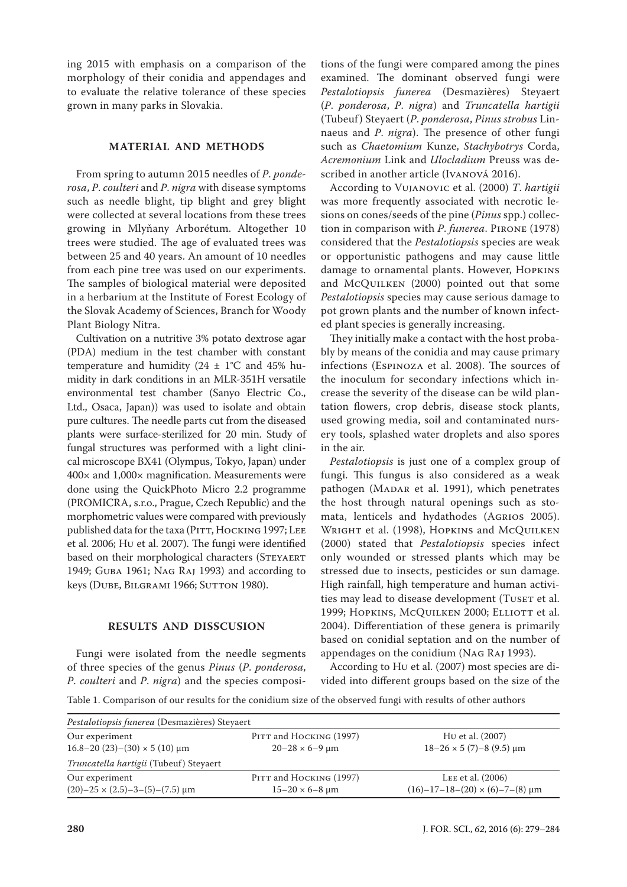ing 2015 with emphasis on a comparison of the morphology of their conidia and appendages and to evaluate the relative tolerance of these species grown in many parks in Slovakia.

## **MATERIAL AND METHODS**

From spring to autumn 2015 needles of *P*. *ponderosa*, *P*. *coulteri* and *P*. *nigra* with disease symptoms such as needle blight, tip blight and grey blight were collected at several locations from these trees growing in Mlyňany Arborétum. Altogether 10 trees were studied. The age of evaluated trees was between 25 and 40 years. An amount of 10 needles from each pine tree was used on our experiments. The samples of biological material were deposited in a herbarium at the Institute of Forest Ecology of the Slovak Academy of Sciences, Branch for Woody Plant Biology Nitra.

Cultivation on a nutritive 3% potato dextrose agar (PDA) medium in the test chamber with constant temperature and humidity ( $24 \pm 1$ °C and 45% humidity in dark conditions in an MLR-351H versatile environmental test chamber (Sanyo Electric Co., Ltd., Osaca, Japan)) was used to isolate and obtain pure cultures. The needle parts cut from the diseased plants were surface-sterilized for 20 min. Study of fungal structures was performed with a light clinical microscope BX41 (Olympus, Tokyo, Japan) under 400× and 1,000× magnification. Measurements were done using the QuickPhoto Micro 2.2 programme (PROMICRA, s.r.o., Prague, Czech Republic) and the morphometric values were compared with previously published data for the taxa (PITT, HOCKING 1997; LEE et al. 2006; Hu et al. 2007). The fungi were identified based on their morphological characters (STEYAERT 1949; Guba 1961; Nag Raj 1993) and according to keys (DUBE, BILGRAMI 1966; SUTTON 1980).

## **RESULTS AND DISSCUSION**

Fungi were isolated from the needle segments of three species of the genus *Pinus* (*P*. *ponderosa*, *P*. *coulteri* and *P*. *nigra*) and the species composi-

tions of the fungi were compared among the pines examined. The dominant observed fungi were *Pestalotiopsis funerea* (Desmazières) Steyaert (*P*. *ponderosa*, *P*. *nigra*) and *Truncatella hartigii* (Tubeuf ) Steyaert (*P*. *ponderosa*, *Pinus strobus* Linnaeus and *P*. *nigra*). The presence of other fungi such as *Chaetomium* Kunze, *Stachybotrys* Corda, *Acremonium* Link and *Ulocladium* Preuss was described in another article (Ivanová 2016).

According to Vujanovic et al. (2000) *T*. *hartigii* was more frequently associated with necrotic lesions on cones/seeds of the pine (*Pinus* spp.) collection in comparison with *P*. *funerea*. Pirone (1978) considered that the *Pestalotiopsis* species are weak or opportunistic pathogens and may cause little damage to ornamental plants. However, Hopkins and McQuilken (2000) pointed out that some *Pestalotiopsis* species may cause serious damage to pot grown plants and the number of known infected plant species is generally increasing.

They initially make a contact with the host probably by means of the conidia and may cause primary infections (Espinoza et al. 2008). The sources of the inoculum for secondary infections which increase the severity of the disease can be wild plantation flowers, crop debris, disease stock plants, used growing media, soil and contaminated nursery tools, splashed water droplets and also spores in the air.

*Pestalotiopsis* is just one of a complex group of fungi. This fungus is also considered as a weak pathogen (MADAR et al. 1991), which penetrates the host through natural openings such as stomata, lenticels and hydathodes (AGRIOS 2005). WRIGHT et al. (1998), HOPKINS and McQUILKEN (2000) stated that *Pestalotiopsis* species infect only wounded or stressed plants which may be stressed due to insects, pesticides or sun damage. High rainfall, high temperature and human activities may lead to disease development (Tuser et al. 1999; HOPKINS, McQUILKEN 2000; ELLIOTT et al. 2004). Differentiation of these genera is primarily based on conidial septation and on the number of appendages on the conidium (Nag Raj 1993).

According to Hu et al. (2007) most species are divided into different groups based on the size of the

Table 1. Comparison of our results for the conidium size of the observed fungi with results of other authors

| Pestalotiopsis funerea (Desmazières) Steyaert        |                                   |                                                    |  |  |  |  |
|------------------------------------------------------|-----------------------------------|----------------------------------------------------|--|--|--|--|
| Our experiment                                       | PITT and HOCKING (1997)           | Hu et al. (2007)                                   |  |  |  |  |
| $16.8 - 20(23) - (30) \times 5(10) \,\mathrm{\mu m}$ | $20 - 28 \times 6 - 9 \text{ µm}$ | $18-26 \times 5 (7)-8 (9.5) \text{ µm}$            |  |  |  |  |
| Truncatella hartigii (Tubeuf) Steyaert               |                                   |                                                    |  |  |  |  |
| Our experiment                                       | PITT and HOCKING (1997)           | LEE et al. $(2006)$                                |  |  |  |  |
| $(20) - 25 \times (2.5) - 3 - (5) - (7.5) \,\mu m$   | $15 - 20 \times 6 - 8 \text{ µm}$ | $(16) - 17 - 18 - (20) \times (6) - 7 - (8) \mu m$ |  |  |  |  |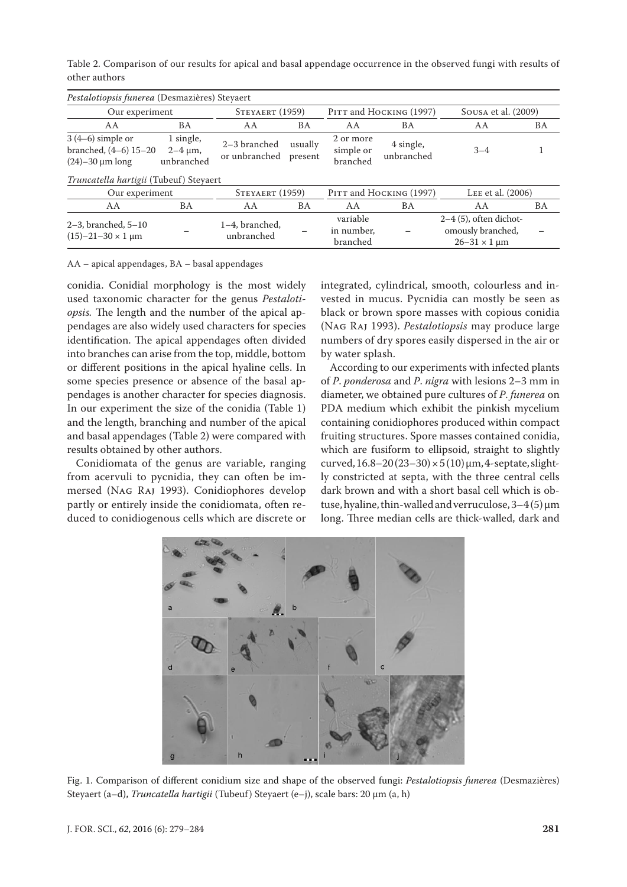Table 2. Comparison of our results for apical and basal appendage occurrence in the observed fungi with results of other authors

| Pestalotiopsis funerea (Desmazières) Steyaert                           |                                          |                                 |                    |                                    |                         |                                                                      |    |
|-------------------------------------------------------------------------|------------------------------------------|---------------------------------|--------------------|------------------------------------|-------------------------|----------------------------------------------------------------------|----|
| Our experiment                                                          |                                          | STEYAERT (1959)                 |                    | PITT and HOCKING (1997)            |                         | SOUSA et al. (2009)                                                  |    |
| AA                                                                      | BA                                       | AA                              | BA                 | AA                                 | BA                      | AA                                                                   | BA |
| $3(4-6)$ simple or<br>branched, $(4-6)$ 15-20<br>$(24) - 30 \mu m \log$ | 1 single,<br>$2-4 \mu m$ ,<br>unbranched | 2-3 branched<br>or unbranched   | usually<br>present | 2 or more<br>simple or<br>branched | 4 single,<br>unbranched | $3 - 4$                                                              |    |
| Truncatella hartigii (Tubeuf) Steyaert                                  |                                          |                                 |                    |                                    |                         |                                                                      |    |
| Our experiment                                                          |                                          | STEYAERT (1959)                 |                    | PITT and HOCKING (1997)            |                         | LEE et al. (2006)                                                    |    |
| AA                                                                      | BA                                       | AA                              | BA                 | AA                                 | <b>BA</b>               | AA                                                                   | BA |
| $2-3$ , branched, $5-10$<br>$(15) - 21 - 30 \times 1$ µm                |                                          | $1-4$ , branched,<br>unbranched |                    | variable<br>in number,<br>branched |                         | $2-4$ (5), often dichot-<br>omously branched,<br>$26-31 \times 1$ µm |    |

AA – apical appendages, BA – basal appendages

conidia. Conidial morphology is the most widely used taxonomic character for the genus *Pestalotiopsis.* The length and the number of the apical appendages are also widely used characters for species identification. The apical appendages often divided into branches can arise from the top, middle, bottom or different positions in the apical hyaline cells. In some species presence or absence of the basal appendages is another character for species diagnosis. In our experiment the size of the conidia (Table 1) and the length, branching and number of the apical and basal appendages (Table 2) were compared with results obtained by other authors.

Conidiomata of the genus are variable, ranging from acervuli to pycnidia, they can often be immersed (Nag Raj 1993). Conidiophores develop partly or entirely inside the conidiomata, often reduced to conidiogenous cells which are discrete or integrated, cylindrical, smooth, colourless and invested in mucus. Pycnidia can mostly be seen as black or brown spore masses with copious conidia (Nag Raj 1993). *Pestalotiopsis* may produce large numbers of dry spores easily dispersed in the air or by water splash.

According to our experiments with infected plants of *P*. *ponderosa* and *P*. *nigra* with lesions 2–3 mm in diameter, we obtained pure cultures of *P*. *funerea* on PDA medium which exhibit the pinkish mycelium containing conidiophores produced within compact fruiting structures. Spore masses contained conidia, which are fusiform to ellipsoid, straight to slightly curved,  $16.8 - 20(23 - 30) \times 5(10)$  µm, 4-septate, slightly constricted at septa, with the three central cells dark brown and with a short basal cell which is obtuse, hyaline, thin-walled and verruculose, 3–4 (5) µm long. Three median cells are thick-walled, dark and



Fig. 1. Comparison of different conidium size and shape of the observed fungi: *Pestalotiopsis funerea* (Desmazières) Steyaert (a–d), *Truncatella hartigii* (Tubeuf) Steyaert (e–j), scale bars: 20 µm (a, h)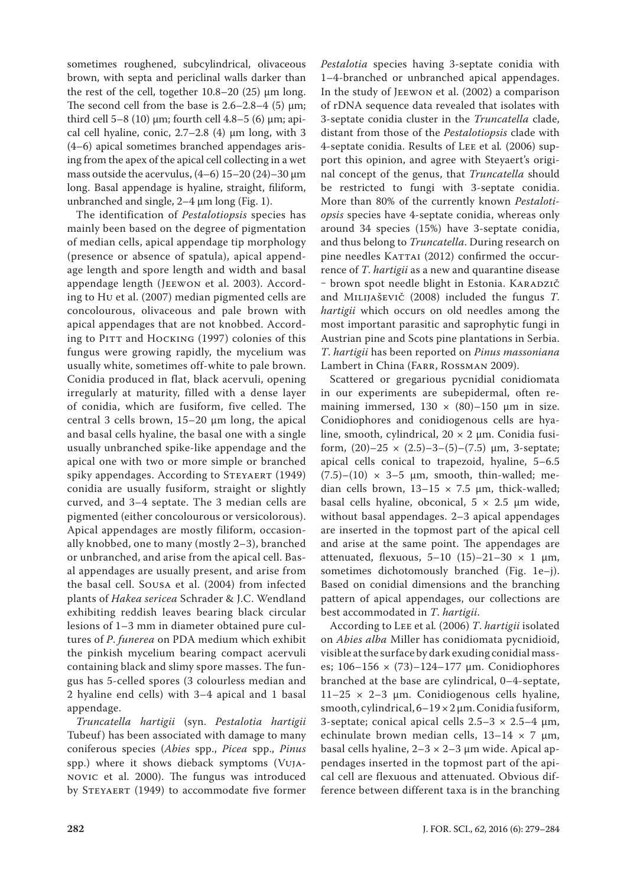sometimes roughened, subcylindrical, olivaceous brown, with septa and periclinal walls darker than the rest of the cell, together  $10.8-20$  (25)  $\mu$ m long. The second cell from the base is  $2.6-2.8-4$  (5)  $\mu$ m; third cell 5–8 (10)  $\mu$ m; fourth cell 4.8–5 (6)  $\mu$ m; apical cell hyaline, conic,  $2.7-2.8$  (4)  $\mu$ m long, with 3 (4–6) apical sometimes branched appendages arising from the apex of the apical cell collecting in a wet mass outside the acervulus,  $(4-6)$  15-20  $(24)$ -30  $\mu$ m long. Basal appendage is hyaline, straight, filiform, unbranched and single, 2–4 µm long (Fig. 1).

The identification of *Pestalotiopsis* species has mainly been based on the degree of pigmentation of median cells, apical appendage tip morphology (presence or absence of spatula), apical appendage length and spore length and width and basal appendage length (Jeewon et al. 2003). According to Hu et al. (2007) median pigmented cells are concolourous, olivaceous and pale brown with apical appendages that are not knobbed. According to PITT and HOCKING (1997) colonies of this fungus were growing rapidly, the mycelium was usually white, sometimes off-white to pale brown. Conidia produced in flat, black acervuli, opening irregularly at maturity, filled with a dense layer of conidia, which are fusiform, five celled. The central 3 cells brown, 15–20 µm long, the apical and basal cells hyaline, the basal one with a single usually unbranched spike-like appendage and the apical one with two or more simple or branched spiky appendages. According to STEYAERT (1949) conidia are usually fusiform, straight or slightly curved, and 3–4 septate. The 3 median cells are pigmented (either concolourous or versicolorous). Apical appendages are mostly filiform, occasionally knobbed, one to many (mostly 2–3), branched or unbranched, and arise from the apical cell. Basal appendages are usually present, and arise from the basal cell. Sousa et al. (2004) from infected plants of *Hakea sericea* Schrader & J.C. Wendland exhibiting reddish leaves bearing black circular lesions of 1–3 mm in diameter obtained pure cultures of *P*. *funerea* on PDA medium which exhibit the pinkish mycelium bearing compact acervuli containing black and slimy spore masses. The fungus has 5-celled spores (3 colourless median and 2 hyaline end cells) with 3–4 apical and 1 basal appendage.

*Truncatella hartigii* (syn. *Pestalotia hartigii* Tubeuf) has been associated with damage to many coniferous species (*Abies* spp., *Picea* spp., *Pinus* spp.) where it shows dieback symptoms (Vujanovic et al. 2000). The fungus was introduced by STEYAERT (1949) to accommodate five former

*Pestalotia* species having 3-septate conidia with 1–4-branched or unbranched apical appendages. In the study of Jeewon et al. (2002) a comparison of rDNA sequence data revealed that isolates with 3-septate conidia cluster in the *Truncatella* clade, distant from those of the *Pestalotiopsis* clade with 4-septate conidia. Results of Lee et al*.* (2006) support this opinion, and agree with Steyaert's original concept of the genus, that *Truncatella* should be restricted to fungi with 3-septate conidia. More than 80% of the currently known *Pestalotiopsis* species have 4-septate conidia, whereas only around 34 species (15%) have 3-septate conidia, and thus belong to *Truncatella*. During research on pine needles KATTAI (2012) confirmed the occurrence of *T*. *hartigii* as a new and quarantine disease - brown spot needle blight in Estonia. KARADZIČ and Milijaševič (2008) included the fungus *T*. *hartigii* which occurs on old needles among the most important parasitic and saprophytic fungi in Austrian pine and Scots pine plantations in Serbia. *T*. *hartigii* has been reported on *Pinus massoniana* Lambert in China (Farr, Rossman 2009).

Scattered or gregarious pycnidial conidiomata in our experiments are subepidermal, often remaining immersed,  $130 \times (80) - 150$  µm in size. Conidiophores and conidiogenous cells are hyaline, smooth, cylindrical,  $20 \times 2$  µm. Conidia fusiform,  $(20) - 25 \times (2.5) - 3 - (5) - (7.5) \text{ µm}$ , 3-septate; apical cells conical to trapezoid, hyaline, 5–6.5  $(7.5)$ – $(10) \times 3$ –5 µm, smooth, thin-walled; median cells brown,  $13-15 \times 7.5$  µm, thick-walled; basal cells hyaline, obconical,  $5 \times 2.5$  µm wide, without basal appendages. 2–3 apical appendages are inserted in the topmost part of the apical cell and arise at the same point. The appendages are attenuated, flexuous, 5-10 (15)-21-30  $\times$  1  $\mu$ m, sometimes dichotomously branched (Fig. 1e–j). Based on conidial dimensions and the branching pattern of apical appendages, our collections are best accommodated in *T*. *hartigii*.

According to Lee et al*.* (2006) *T*. *hartigii* isolated on *Abies alba* Miller has conidiomata pycnidioid, visible at the surface by dark exuding conidial masses; 106–156 × (73)–124–177 μm. Conidiophores branched at the base are cylindrical, 0–4-septate,  $11-25 \times 2-3$  µm. Conidiogenous cells hyaline, smooth, cylindrical,  $6-19 \times 2 \mu$ m. Conidia fusiform, 3-septate; conical apical cells  $2.5-3 \times 2.5-4 \mu m$ , echinulate brown median cells,  $13-14 \times 7 \mu m$ , basal cells hyaline,  $2-3 \times 2-3$  µm wide. Apical appendages inserted in the topmost part of the apical cell are flexuous and attenuated. Obvious difference between different taxa is in the branching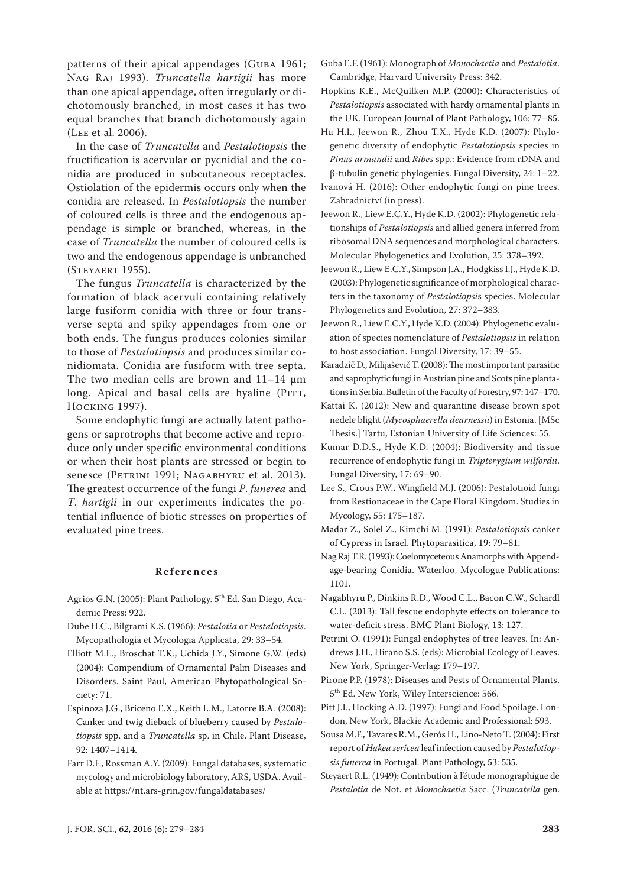patterns of their apical appendages (GUBA 1961; Nag Raj 1993). *Truncatella hartigii* has more than one apical appendage, often irregularly or dichotomously branched, in most cases it has two equal branches that branch dichotomously again (Lee et al. 2006).

In the case of *Truncatella* and *Pestalotiopsis* the fructification is acervular or pycnidial and the conidia are produced in subcutaneous receptacles. Ostiolation of the epidermis occurs only when the conidia are released. In *Pestalotiopsis* the number of coloured cells is three and the endogenous appendage is simple or branched, whereas, in the case of *Truncatella* the number of coloured cells is two and the endogenous appendage is unbranched (STEYAERT 1955).

The fungus *Truncatella* is characterized by the formation of black acervuli containing relatively large fusiform conidia with three or four transverse septa and spiky appendages from one or both ends. The fungus produces colonies similar to those of *Pestalotiopsis* and produces similar conidiomata. Conidia are fusiform with tree septa. The two median cells are brown and  $11-14 \mu m$ long. Apical and basal cells are hyaline (PITT, Hocking 1997).

Some endophytic fungi are actually latent pathogens or saprotrophs that become active and reproduce only under specific environmental conditions or when their host plants are stressed or begin to senesce (PETRINI 1991; NAGABHYRU et al. 2013). The greatest occurrence of the fungi *P*. *funerea* and *T*. *hartigii* in our experiments indicates the potential influence of biotic stresses on properties of evaluated pine trees.

#### **References**

- Agrios G.N. (2005): Plant Pathology. 5<sup>th</sup> Ed. San Diego, Academic Press: 922.
- Dube H.C., Bilgrami K.S. (1966): *Pestalotia* or *Pestalotiopsis*. Mycopathologia et Mycologia Applicata, 29: 33–54.
- Elliott M.L., Broschat T.K., Uchida J.Y., Simone G.W. (eds) (2004): Compendium of Ornamental Palm Diseases and Disorders. Saint Paul, American Phytopathological Society: 71.
- Espinoza J.G., Briceno E.X., Keith L.M., Latorre B.A. (2008): Canker and twig dieback of blueberry caused by *Pestalotiopsis* spp. and a *Truncatella* sp. in Chile. Plant Disease, 92: 1407–1414.
- Farr D.F., Rossman A.Y. (2009): Fungal databases, systematic mycology and microbiology laboratory, ARS, USDA. Available at https://nt.ars-grin.gov/fungaldatabases/
- Guba E.F. (1961): Monograph of *Monochaetia* and *Pestalotia*. Cambridge, Harvard University Press: 342.
- Hopkins K.E., McQuilken M.P. (2000): Characteristics of *Pestalotiopsis* associated with hardy ornamental plants in the UK. European Journal of Plant Pathology, 106: 77–85.
- Hu H.I., Jeewon R., Zhou T.X., Hyde K.D. (2007): Phylogenetic diversity of endophytic *Pestalotiopsis* species in *Pinus armandii* and *Ribes* spp.: Evidence from rDNA and β-tubulin genetic phylogenies. Fungal Diversity, 24: 1–22.
- Ivanová H. (2016): Other endophytic fungi on pine trees. Zahradnictví (in press).
- Jeewon R., Liew E.C.Y., Hyde K.D. (2002): Phylogenetic relationships of *Pestalotiopsis* and allied genera inferred from ribosomal DNA sequences and morphological characters. Molecular Phylogenetics and Evolution, 25: 378–392.
- Jeewon R., Liew E.C.Y., Simpson J.A., Hodgkiss I.J., Hyde K.D. (2003): Phylogenetic significance of morphological characters in the taxonomy of *Pestalotiopsi*s species. Molecular Phylogenetics and Evolution, 27: 372–383.
- Jeewon R., Liew E.C.Y., Hyde K.D. (2004): Phylogenetic evaluation of species nomenclature of *Pestalotiopsis* in relation to host association. Fungal Diversity, 17: 39–55.
- Karadzič D., Milijaševič T. (2008): The most important parasitic and saprophytic fungi in Austrian pine and Scots pine plantations in Serbia. Bulletin of the Faculty of Forestry, 97: 147–170.
- Kattai K. (2012): New and quarantine disease brown spot nedele blight (*Mycosphaerella dearnessii*) in Estonia. [MSc Thesis.] Tartu, Estonian University of Life Sciences: 55.
- Kumar D.D.S., Hyde K.D. (2004): Biodiversity and tissue recurrence of endophytic fungi in *Tripterygium wilfordii*. Fungal Diversity, 17: 69–90.
- Lee S., Crous P.W., Wingfield M.J. (2006): Pestalotioid fungi from Restionaceae in the Cape Floral Kingdom. Studies in Mycology, 55: 175–187.
- Madar Z., Solel Z., Kimchi M. (1991): *Pestalotiopsis* canker of Cypress in Israel. Phytoparasitica, 19: 79–81.
- Nag Raj T.R. (1993): Coelomyceteous Anamorphs with Appendage-bearing Conidia. Waterloo, Mycologue Publications: 1101.
- Nagabhyru P., Dinkins R.D., Wood C.L., Bacon C.W., Schardl C.L. (2013): Tall fescue endophyte effects on tolerance to water-deficit stress. BMC Plant Biology, 13: 127.
- Petrini O. (1991): Fungal endophytes of tree leaves. In: Andrews J.H., Hirano S.S. (eds): Microbial Ecology of Leaves. New York, Springer-Verlag: 179–197.
- Pirone P.P. (1978): Diseases and Pests of Ornamental Plants. 5th Ed. New York, Wiley Interscience: 566.
- Pitt J.I., Hocking A.D. (1997): Fungi and Food Spoilage. London, New York, Blackie Academic and Professional: 593.
- Sousa M.F., Tavares R.M., Gerós H., Lino-Neto T. (2004): First report of *Hakea sericea* leaf infection caused by *Pestalotiopsis funerea* in Portugal. Plant Pathology, 53: 535.
- Steyaert R.L. (1949): Contribution à l'étude monographigue de *Pestalotia* de Not. et *Monochaetia* Sacc. (*Truncatella* gen.